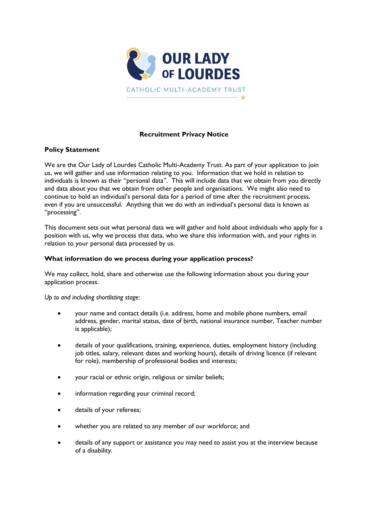

# **Recruitment Privacy Notice**

## **Policy Statement**

We are the Our Lady of Lourdes Catholic Multi-Academy Trust. As part of your application to join us, we will gather and use information relating to you. Information that we hold in relation to individuals is known as their "personal data". This will include data that we obtain from you directly and data about you that we obtain from other people and organisations. We might also need to continue to hold an individual's personal data for a period of time after the recruitment process, even if you are unsuccessful. Anything that we do with an individual's personal data is known as "processing".

This document sets out what personal data we will gather and hold about individuals who apply for a position with us, why we process that data, who we share this information with, and your rights in relation to your personal data processed by us.

## **What information do we process during your application process?**

We may collect, hold, share and otherwise use the following information about you during your application process.

*Up to and including shortlisting stage:*

- your name and contact details (i.e. address, home and mobile phone numbers, email address, gender, marital status, date of birth, national insurance number, Teacher number is applicable);
- details of your qualifications, training, experience, duties, employment history (including job titles, salary, relevant dates and working hours), details of driving licence (if relevant for role), membership of professional bodies and interests;
- your racial or ethnic origin, religious or similar beliefs;
- information regarding your criminal record;
- details of your referees:
- whether you are related to any member of our workforce; and
- details of any support or assistance you may need to assist you at the interview because of a disability.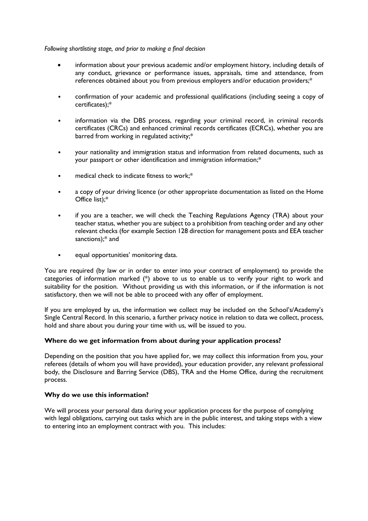#### *Following shortlisting stage, and prior to making a final decision*

- information about your previous academic and/or employment history, including details of any conduct, grievance or performance issues, appraisals, time and attendance, from references obtained about you from previous employers and/or education providers;\*
- confirmation of your academic and professional qualifications (including seeing a copy of certificates);\*
- information via the DBS process, regarding your criminal record, in criminal records certificates (CRCs) and enhanced criminal records certificates (ECRCs), whether you are barred from working in regulated activity;\*
- your nationality and immigration status and information from related documents, such as your passport or other identification and immigration information;\*
- medical check to indicate fitness to work;\*
- a copy of your driving licence (or other appropriate documentation as listed on the Home Office list);\*
- if you are a teacher, we will check the Teaching Regulations Agency (TRA) about your teacher status, whether you are subject to a prohibition from teaching order and any other relevant checks (for example Section 128 direction for management posts and EEA teacher sanctions);\* and
- equal opportunities' monitoring data.

You are required (by law or in order to enter into your contract of employment) to provide the categories of information marked (\*) above to us to enable us to verify your right to work and suitability for the position. Without providing us with this information, or if the information is not satisfactory, then we will not be able to proceed with any offer of employment.

If you are employed by us, the information we collect may be included on the School's/Academy's Single Central Record. In this scenario, a further privacy notice in relation to data we collect, process, hold and share about you during your time with us, will be issued to you.

## **Where do we get information from about during your application process?**

Depending on the position that you have applied for, we may collect this information from you, your referees (details of whom you will have provided), your education provider, any relevant professional body, the Disclosure and Barring Service (DBS), TRA and the Home Office, during the recruitment process.

## **Why do we use this information?**

We will process your personal data during your application process for the purpose of complying with legal obligations, carrying out tasks which are in the public interest, and taking steps with a view to entering into an employment contract with you. This includes: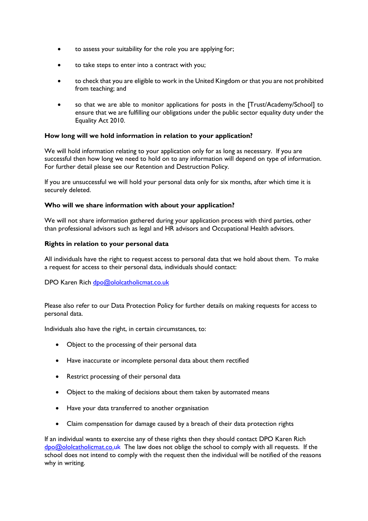- to assess your suitability for the role you are applying for;
- to take steps to enter into a contract with you;
- to check that you are eligible to work in the United Kingdom or that you are not prohibited from teaching; and
- so that we are able to monitor applications for posts in the [Trust/Academy/School] to ensure that we are fulfilling our obligations under the public sector equality duty under the Equality Act 2010.

## **How long will we hold information in relation to your application?**

We will hold information relating to your application only for as long as necessary. If you are successful then how long we need to hold on to any information will depend on type of information. For further detail please see our Retention and Destruction Policy.

If you are unsuccessful we will hold your personal data only for six months, after which time it is securely deleted.

## **Who will we share information with about your application?**

We will not share information gathered during your application process with third parties, other than professional advisors such as legal and HR advisors and Occupational Health advisors.

## **Rights in relation to your personal data**

All individuals have the right to request access to personal data that we hold about them. To make a request for access to their personal data, individuals should contact:

## DPO Karen Rich [dpo@ololcatholicmat.co.uk](mailto:dpo@ololcatholicmat.co.uk)

Please also refer to our Data Protection Policy for further details on making requests for access to personal data.

Individuals also have the right, in certain circumstances, to:

- Object to the processing of their personal data
- Have inaccurate or incomplete personal data about them rectified
- Restrict processing of their personal data
- Object to the making of decisions about them taken by automated means
- Have your data transferred to another organisation
- Claim compensation for damage caused by a breach of their data protection rights

If an individual wants to exercise any of these rights then they should contact DPO Karen Rich [dpo@ololcatholicmat.co.uk](mailto:dpo@ololcatholicmat.co.uk) The law does not oblige the school to comply with all requests. If the school does not intend to comply with the request then the individual will be notified of the reasons why in writing.